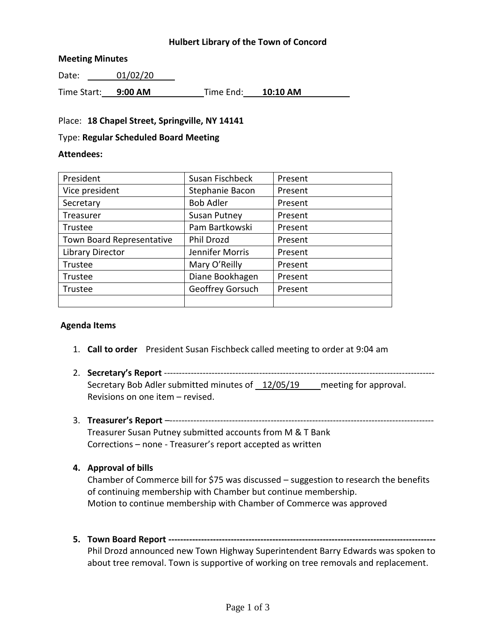### **Hulbert Library of the Town of Concord**

### **Meeting Minutes**

Date: 01/02/20

Time Start: **9:00 AM** Time End: **10:10 AM**

### Place: **18 Chapel Street, Springville, NY 14141**

#### Type: **Regular Scheduled Board Meeting**

#### **Attendees:**

| President                 | Susan Fischbeck     | Present |
|---------------------------|---------------------|---------|
| Vice president            | Stephanie Bacon     | Present |
| Secretary                 | <b>Bob Adler</b>    | Present |
| Treasurer                 | <b>Susan Putney</b> | Present |
| Trustee                   | Pam Bartkowski      | Present |
| Town Board Representative | <b>Phil Drozd</b>   | Present |
| <b>Library Director</b>   | Jennifer Morris     | Present |
| Trustee                   | Mary O'Reilly       | Present |
| Trustee                   | Diane Bookhagen     | Present |
| Trustee                   | Geoffrey Gorsuch    | Present |
|                           |                     |         |

### **Agenda Items**

- 1. **Call to order** President Susan Fischbeck called meeting to order at 9:04 am
- 2. **Secretary's Report** ------------------------------------------------------------------------------------------- Secretary Bob Adler submitted minutes of 12/05/19 meeting for approval. Revisions on one item – revised.
- 3. **Treasurer's Report** –-----------------------------------------------------------------------------------------

Treasurer Susan Putney submitted accounts from M & T Bank Corrections – none - Treasurer's report accepted as written

### **4. Approval of bills**

Chamber of Commerce bill for \$75 was discussed – suggestion to research the benefits of continuing membership with Chamber but continue membership. Motion to continue membership with Chamber of Commerce was approved

**5. Town Board Report ------------------------------------------------------------------------------------------** Phil Drozd announced new Town Highway Superintendent Barry Edwards was spoken to

about tree removal. Town is supportive of working on tree removals and replacement.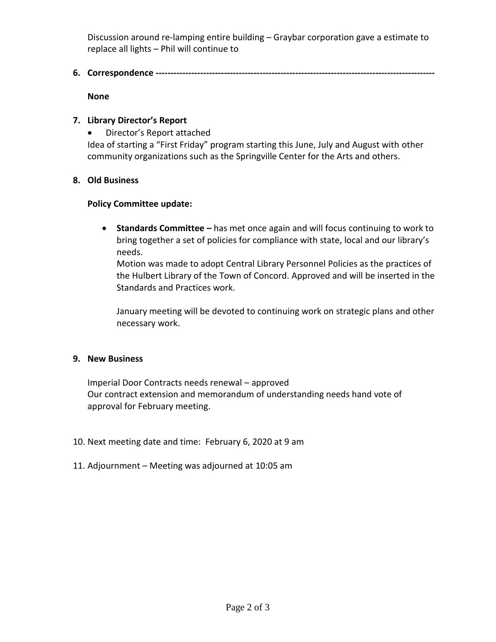Discussion around re-lamping entire building – Graybar corporation gave a estimate to replace all lights – Phil will continue to

**6. Correspondence ----------------------------------------------------------------------------------------------**

**None**

# **7. Library Director's Report**

Director's Report attached

Idea of starting a "First Friday" program starting this June, July and August with other community organizations such as the Springville Center for the Arts and others.

# **8. Old Business**

### **Policy Committee update:**

 **Standards Committee –** has met once again and will focus continuing to work to bring together a set of policies for compliance with state, local and our library's needs.

Motion was made to adopt Central Library Personnel Policies as the practices of the Hulbert Library of the Town of Concord. Approved and will be inserted in the Standards and Practices work.

January meeting will be devoted to continuing work on strategic plans and other necessary work.

### **9. New Business**

Imperial Door Contracts needs renewal – approved Our contract extension and memorandum of understanding needs hand vote of approval for February meeting.

- 10. Next meeting date and time: February 6, 2020 at 9 am
- 11. Adjournment Meeting was adjourned at 10:05 am